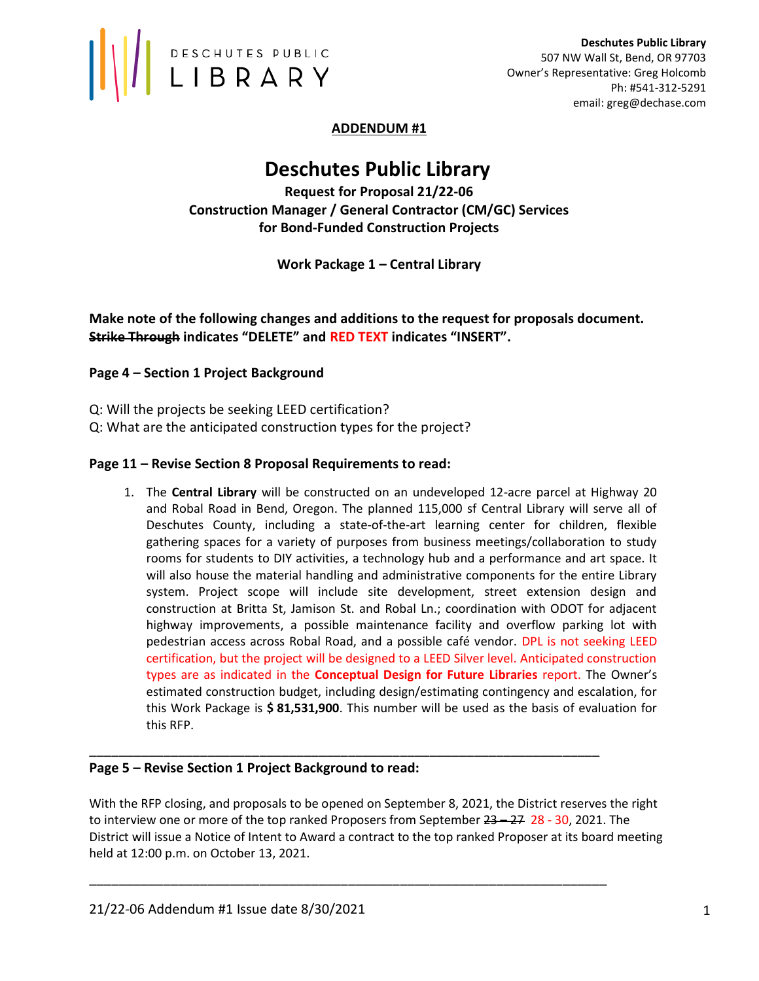

# ADDENDUM #1

# Deschutes Public Library

Request for Proposal 21/22-06 Construction Manager / General Contractor (CM/GC) Services for Bond-Funded Construction Projects

# Work Package 1 – Central Library

Make note of the following changes and additions to the request for proposals document. Strike Through indicates "DELETE" and RED TEXT indicates "INSERT".

# Page 4 – Section 1 Project Background

- Q: Will the projects be seeking LEED certification?
- Q: What are the anticipated construction types for the project?

## Page 11 – Revise Section 8 Proposal Requirements to read:

1. The Central Library will be constructed on an undeveloped 12-acre parcel at Highway 20 and Robal Road in Bend, Oregon. The planned 115,000 sf Central Library will serve all of Deschutes County, including a state-of-the-art learning center for children, flexible gathering spaces for a variety of purposes from business meetings/collaboration to study rooms for students to DIY activities, a technology hub and a performance and art space. It will also house the material handling and administrative components for the entire Library system. Project scope will include site development, street extension design and construction at Britta St, Jamison St. and Robal Ln.; coordination with ODOT for adjacent highway improvements, a possible maintenance facility and overflow parking lot with pedestrian access across Robal Road, and a possible café vendor. DPL is not seeking LEED certification, but the project will be designed to a LEED Silver level. Anticipated construction types are as indicated in the **Conceptual Design for Future Libraries** report. The Owner's estimated construction budget, including design/estimating contingency and escalation, for this Work Package is \$81,531,900. This number will be used as the basis of evaluation for this RFP.

## Page 5 – Revise Section 1 Project Background to read:

With the RFP closing, and proposals to be opened on September 8, 2021, the District reserves the right to interview one or more of the top ranked Proposers from September  $23 - 27$  28 - 30, 2021. The District will issue a Notice of Intent to Award a contract to the top ranked Proposer at its board meeting held at 12:00 p.m. on October 13, 2021.

\_\_\_\_\_\_\_\_\_\_\_\_\_\_\_\_\_\_\_\_\_\_\_\_\_\_\_\_\_\_\_\_\_\_\_\_\_\_\_\_\_\_\_\_\_\_\_\_\_\_\_\_\_\_\_\_\_\_\_\_\_\_\_\_\_\_\_\_\_

\_\_\_\_\_\_\_\_\_\_\_\_\_\_\_\_\_\_\_\_\_\_\_\_\_\_\_\_\_\_\_\_\_\_\_\_\_\_\_\_\_\_\_\_\_\_\_\_\_\_\_\_\_\_\_\_\_\_\_\_\_\_\_\_\_\_\_\_\_\_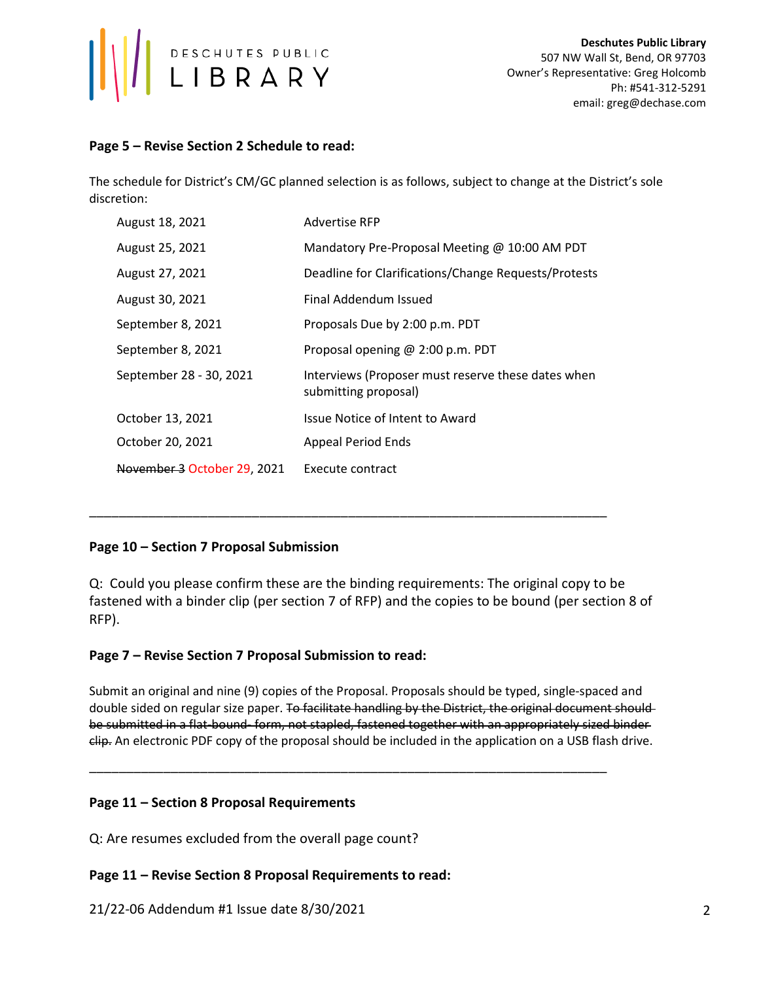

## Page 5 – Revise Section 2 Schedule to read:

The schedule for District's CM/GC planned selection is as follows, subject to change at the District's sole discretion:

| August 18, 2021             | Advertise RFP                                                              |
|-----------------------------|----------------------------------------------------------------------------|
| August 25, 2021             | Mandatory Pre-Proposal Meeting @ 10:00 AM PDT                              |
| August 27, 2021             | Deadline for Clarifications/Change Requests/Protests                       |
| August 30, 2021             | Final Addendum Issued                                                      |
| September 8, 2021           | Proposals Due by 2:00 p.m. PDT                                             |
| September 8, 2021           | Proposal opening @ 2:00 p.m. PDT                                           |
| September 28 - 30, 2021     | Interviews (Proposer must reserve these dates when<br>submitting proposal) |
| October 13, 2021            | Issue Notice of Intent to Award                                            |
| October 20, 2021            | <b>Appeal Period Ends</b>                                                  |
| November 3 October 29, 2021 | Execute contract                                                           |

\_\_\_\_\_\_\_\_\_\_\_\_\_\_\_\_\_\_\_\_\_\_\_\_\_\_\_\_\_\_\_\_\_\_\_\_\_\_\_\_\_\_\_\_\_\_\_\_\_\_\_\_\_\_\_\_\_\_\_\_\_\_\_\_\_\_\_\_\_\_

# Page 10 – Section 7 Proposal Submission

Q: Could you please confirm these are the binding requirements: The original copy to be fastened with a binder clip (per section 7 of RFP) and the copies to be bound (per section 8 of RFP).

## Page 7 – Revise Section 7 Proposal Submission to read:

Submit an original and nine (9) copies of the Proposal. Proposals should be typed, single-spaced and double sided on regular size paper. To facilitate handling by the District, the original document shouldbe submitted in a flat-bound- form, not stapled, fastened together with an appropriately sized binder clip. An electronic PDF copy of the proposal should be included in the application on a USB flash drive.

\_\_\_\_\_\_\_\_\_\_\_\_\_\_\_\_\_\_\_\_\_\_\_\_\_\_\_\_\_\_\_\_\_\_\_\_\_\_\_\_\_\_\_\_\_\_\_\_\_\_\_\_\_\_\_\_\_\_\_\_\_\_\_\_\_\_\_\_\_\_

## Page 11 – Section 8 Proposal Requirements

Q: Are resumes excluded from the overall page count?

## Page 11 – Revise Section 8 Proposal Requirements to read:

21/22-06 Addendum #1 Issue date 8/30/2021 2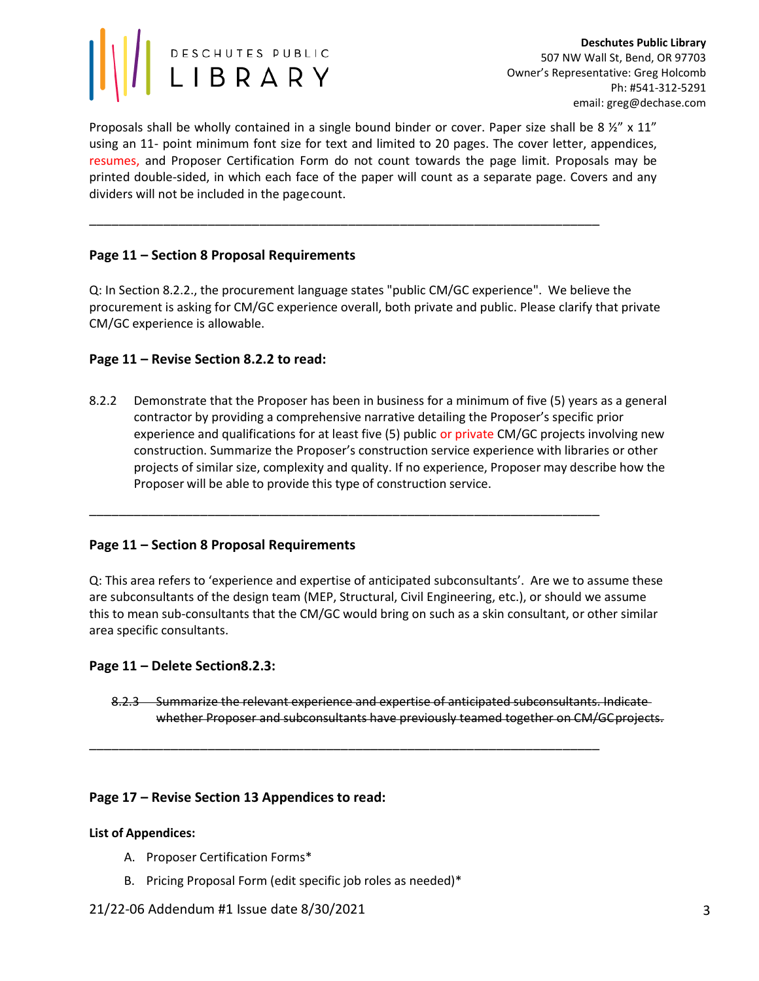

Proposals shall be wholly contained in a single bound binder or cover. Paper size shall be 8 ½" x 11" using an 11- point minimum font size for text and limited to 20 pages. The cover letter, appendices, resumes, and Proposer Certification Form do not count towards the page limit. Proposals may be printed double-sided, in which each face of the paper will count as a separate page. Covers and any dividers will not be included in the page count.

\_\_\_\_\_\_\_\_\_\_\_\_\_\_\_\_\_\_\_\_\_\_\_\_\_\_\_\_\_\_\_\_\_\_\_\_\_\_\_\_\_\_\_\_\_\_\_\_\_\_\_\_\_\_\_\_\_\_\_\_\_\_\_\_\_\_\_\_\_

# Page 11 – Section 8 Proposal Requirements

Q: In Section 8.2.2., the procurement language states "public CM/GC experience". We believe the procurement is asking for CM/GC experience overall, both private and public. Please clarify that private CM/GC experience is allowable.

## Page 11 – Revise Section 8.2.2 to read:

8.2.2 Demonstrate that the Proposer has been in business for a minimum of five (5) years as a general contractor by providing a comprehensive narrative detailing the Proposer's specific prior experience and qualifications for at least five (5) public or private CM/GC projects involving new construction. Summarize the Proposer's construction service experience with libraries or other projects of similar size, complexity and quality. If no experience, Proposer may describe how the Proposer will be able to provide this type of construction service.

\_\_\_\_\_\_\_\_\_\_\_\_\_\_\_\_\_\_\_\_\_\_\_\_\_\_\_\_\_\_\_\_\_\_\_\_\_\_\_\_\_\_\_\_\_\_\_\_\_\_\_\_\_\_\_\_\_\_\_\_\_\_\_\_\_\_\_\_\_

\_\_\_\_\_\_\_\_\_\_\_\_\_\_\_\_\_\_\_\_\_\_\_\_\_\_\_\_\_\_\_\_\_\_\_\_\_\_\_\_\_\_\_\_\_\_\_\_\_\_\_\_\_\_\_\_\_\_\_\_\_\_\_\_\_\_\_\_\_

## Page 11 – Section 8 Proposal Requirements

Q: This area refers to 'experience and expertise of anticipated subconsultants'. Are we to assume these are subconsultants of the design team (MEP, Structural, Civil Engineering, etc.), or should we assume this to mean sub-consultants that the CM/GC would bring on such as a skin consultant, or other similar area specific consultants.

#### Page 11 – Delete Section8.2.3:

8.2.3 Summarize the relevant experience and expertise of anticipated subconsultants. Indicate whether Proposer and subconsultants have previously teamed together on CM/GC projects.

#### Page 17 – Revise Section 13 Appendices to read:

#### List of Appendices:

- A. Proposer Certification Forms\*
- B. Pricing Proposal Form (edit specific job roles as needed)\*

#### 21/22-06 Addendum #1 Issue date 8/30/2021 3